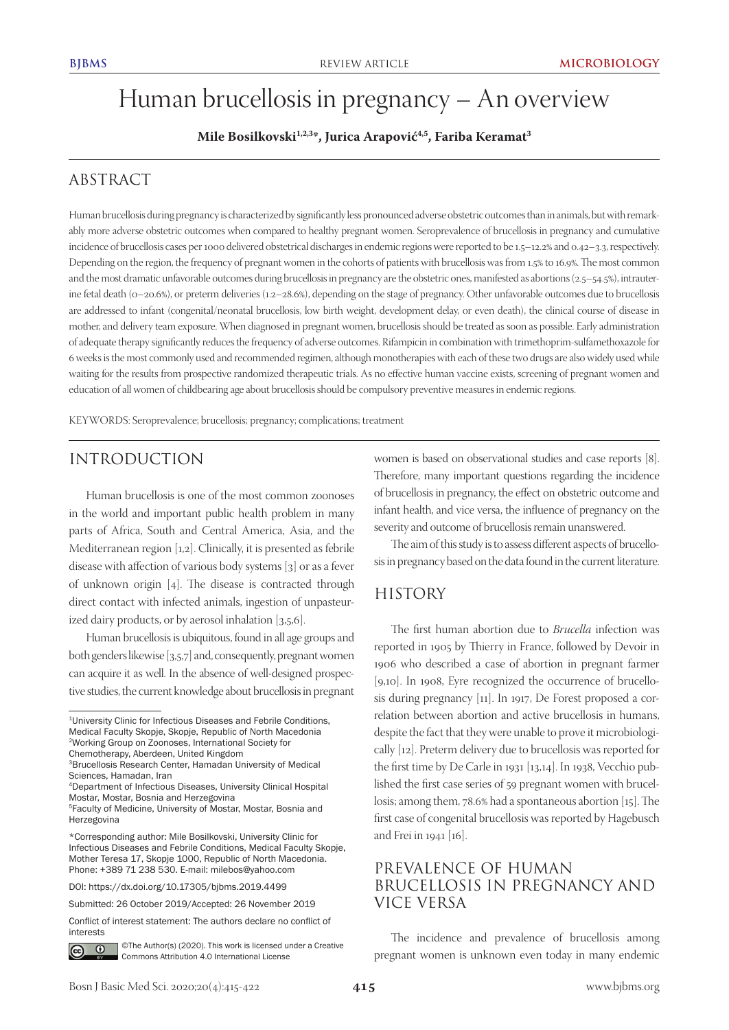# Human brucellosis in pregnancy – An overview

**Mile Bosilkovski1,2,3\*, Jurica Arapović4,5, Fariba Keramat3**

# ABSTRACT

Human brucellosis during pregnancy is characterized by significantly less pronounced adverse obstetric outcomes than in animals, but with remarkably more adverse obstetric outcomes when compared to healthy pregnant women. Seroprevalence of brucellosis in pregnancy and cumulative incidence of brucellosis cases per 1000 delivered obstetrical discharges in endemic regions were reported to be 1.5–12.2% and 0.42–3.3, respectively. Depending on the region, the frequency of pregnant women in the cohorts of patients with brucellosis was from 1.5% to 16.9%. The most common and the most dramatic unfavorable outcomes during brucellosis in pregnancy are the obstetric ones, manifested as abortions (2.5–54.5%), intrauterine fetal death (0–20.6%), or preterm deliveries (1.2–28.6%), depending on the stage of pregnancy. Other unfavorable outcomes due to brucellosis are addressed to infant (congenital/neonatal brucellosis, low birth weight, development delay, or even death), the clinical course of disease in mother, and delivery team exposure. When diagnosed in pregnant women, brucellosis should be treated as soon as possible. Early administration of adequate therapy significantly reduces the frequency of adverse outcomes. Rifampicin in combination with trimethoprim-sulfamethoxazole for 6 weeks is the most commonly used and recommended regimen, although monotherapies with each of these two drugs are also widely used while waiting for the results from prospective randomized therapeutic trials. As no effective human vaccine exists, screening of pregnant women and education of all women of childbearing age about brucellosis should be compulsory preventive measures in endemic regions.

KEYWORDS: Seroprevalence; brucellosis; pregnancy; complications; treatment

### INTRODUCTION

Human brucellosis is one of the most common zoonoses in the world and important public health problem in many parts of Africa, South and Central America, Asia, and the Mediterranean region [1,2]. Clinically, it is presented as febrile disease with affection of various body systems [3] or as a fever of unknown origin [4]. The disease is contracted through direct contact with infected animals, ingestion of unpasteurized dairy products, or by aerosol inhalation [3,5,6].

Human brucellosis is ubiquitous, found in all age groups and both genders likewise [3,5,7] and, consequently, pregnant women can acquire it as well. In the absence of well-designed prospective studies, the current knowledge about brucellosis in pregnant

DOI: https://dx.doi.org/10.17305/bjbms.2019.4499

Conflict of interest statement: The authors declare no conflict of interests



©The Author(s) (2020). This work is licensed under a Creative Commons Attribution 4.0 International License

women is based on observational studies and case reports [8]. Therefore, many important questions regarding the incidence of brucellosis in pregnancy, the effect on obstetric outcome and infant health, and vice versa, the influence of pregnancy on the severity and outcome of brucellosis remain unanswered.

The aim of this study is to assess different aspects of brucellosis in pregnancy based on the data found in the current literature.

### **HISTORY**

The first human abortion due to *Brucella* infection was reported in 1905 by Thierry in France, followed by Devoir in 1906 who described a case of abortion in pregnant farmer [9,10]. In 1908, Eyre recognized the occurrence of brucellosis during pregnancy [11]. In 1917, De Forest proposed a correlation between abortion and active brucellosis in humans, despite the fact that they were unable to prove it microbiologically [12]. Preterm delivery due to brucellosis was reported for the first time by De Carle in 1931 [13,14]. In 1938, Vecchio published the first case series of 59 pregnant women with brucellosis; among them, 78.6% had a spontaneous abortion [15]. The first case of congenital brucellosis was reported by Hagebusch and Frei in 1941 [16].

# PREVALENCE OF HUMAN BRUCELLOSIS IN PREGNANCY AND VICE VERSA

The incidence and prevalence of brucellosis among pregnant women is unknown even today in many endemic

<sup>1</sup>University Clinic for Infectious Diseases and Febrile Conditions, Medical Faculty Skopje, Skopje, Republic of North Macedonia 2Working Group on Zoonoses, International Society for Chemotherapy, Aberdeen, United Kingdom

<sup>3</sup>Brucellosis Research Center, Hamadan University of Medical Sciences, Hamadan, Iran

<sup>4</sup>Department of Infectious Diseases, University Clinical Hospital Mostar, Mostar, Bosnia and Herzegovina

<sup>5</sup>Faculty of Medicine, University of Mostar, Mostar, Bosnia and Herzegovina

<sup>\*</sup>Corresponding author: Mile Bosilkovski, University Clinic for Infectious Diseases and Febrile Conditions, Medical Faculty Skopje, Mother Teresa 17, Skopje 1000, Republic of North Macedonia. Phone: +389 71 238 530. E-mail: milebos@yahoo.com

Submitted: 26 October 2019/Accepted: 26 November 2019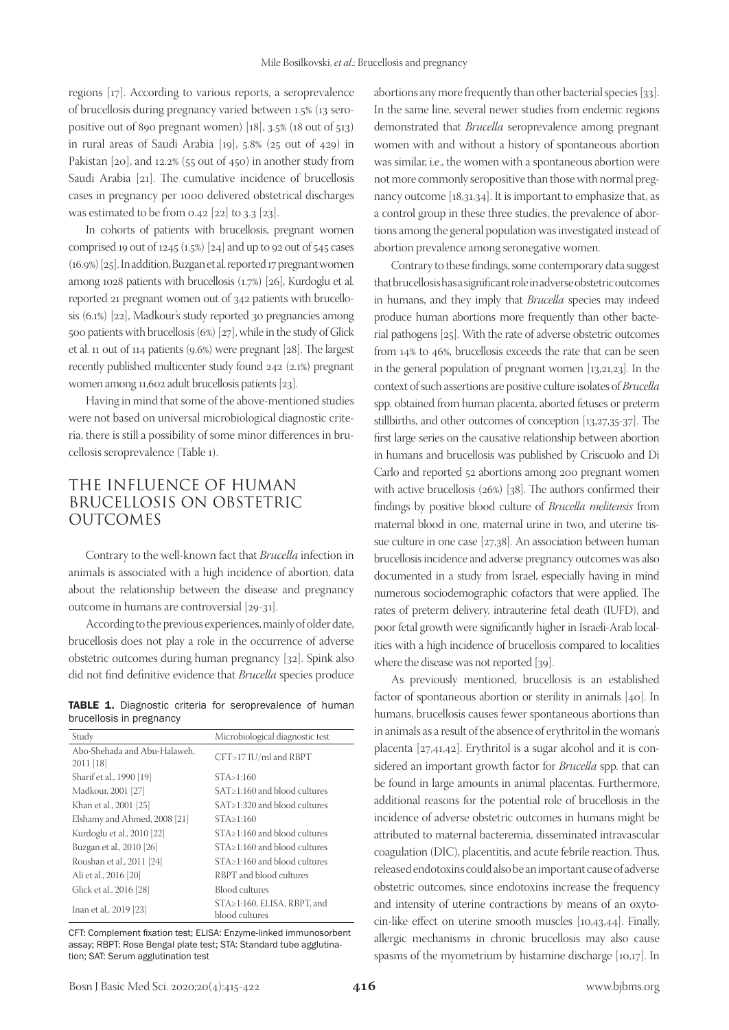regions [17]. According to various reports, a seroprevalence of brucellosis during pregnancy varied between 1.5% (13 seropositive out of 890 pregnant women) [18], 3.5% (18 out of 513) in rural areas of Saudi Arabia [19], 5.8% (25 out of 429) in Pakistan [20], and 12.2% (55 out of 450) in another study from Saudi Arabia [21]. The cumulative incidence of brucellosis cases in pregnancy per 1000 delivered obstetrical discharges was estimated to be from 0.42 [22] to 3.3 [23].

In cohorts of patients with brucellosis, pregnant women comprised 19 out of 1245 (1.5%)  $[24]$  and up to 92 out of 545 cases (16.9%) [25]. In addition, Buzgan et al. reported 17 pregnant women among 1028 patients with brucellosis (1.7%) [26], Kurdoglu et al. reported 21 pregnant women out of 342 patients with brucellosis (6.1%) [22], Madkour's study reported 30 pregnancies among 500 patients with brucellosis (6%) [27], while in the study of Glick et al. 11 out of 114 patients (9.6%) were pregnant [28]. The largest recently published multicenter study found 242 (2.1%) pregnant women among 11,602 adult brucellosis patients [23].

Having in mind that some of the above-mentioned studies were not based on universal microbiological diagnostic criteria, there is still a possibility of some minor differences in brucellosis seroprevalence (Table 1).

# THE INFLUENCE OF HUMAN BRUCELLOSIS ON OBSTETRIC OUTCOMES

Contrary to the well-known fact that *Brucella* infection in animals is associated with a high incidence of abortion, data about the relationship between the disease and pregnancy outcome in humans are controversial [29-31].

According to the previous experiences, mainly of older date, brucellosis does not play a role in the occurrence of adverse obstetric outcomes during human pregnancy [32]. Spink also did not find definitive evidence that *Brucella* species produce

TABLE 1. Diagnostic criteria for seroprevalence of human brucellosis in pregnancy

| Study                                       | Microbiological diagnostic test               |
|---------------------------------------------|-----------------------------------------------|
| Abo-Shehada and Abu-Halaweh.<br>$2011$ [18] | CFT>17 IU/ml and RBPT                         |
| Sharif et al., 1990 [19]                    | STA > 1:160                                   |
| Madkour, 2001 [27]                          | SAT>1:160 and blood cultures                  |
| Khan et al., 2001 [25]                      | SAT>1:320 and blood cultures                  |
| Elshamy and Ahmed, 2008 [21]                | STA > 1:160                                   |
| Kurdoglu et al., 2010 [22]                  | $STA \geq 1:160$ and blood cultures           |
| Buzgan et al., 2010 [26]                    | STA>1:160 and blood cultures                  |
| Roushan et al., 2011 [24]                   | $STA \geq 1:160$ and blood cultures           |
| Ali et al., 2016 [20]                       | RBPT and blood cultures                       |
| Glick et al., 2016 [28]                     | <b>Blood cultures</b>                         |
| Inan et al., 2019 [23]                      | STA≥1:160, ELISA, RBPT, and<br>blood cultures |

CFT: Complement fixation test; ELISA: Enzyme-linked immunosorbent assay; RBPT: Rose Bengal plate test; STA: Standard tube agglutination; SAT: Serum agglutination test

abortions any more frequently than other bacterial species [33]. In the same line, several newer studies from endemic regions demonstrated that *Brucella* seroprevalence among pregnant women with and without a history of spontaneous abortion was similar, i.e., the women with a spontaneous abortion were not more commonly seropositive than those with normal pregnancy outcome [18,31,34]. It is important to emphasize that, as a control group in these three studies, the prevalence of abortions among the general population was investigated instead of abortion prevalence among seronegative women.

Contrary to these findings, some contemporary data suggest that brucellosis has a significant role in adverse obstetric outcomes in humans, and they imply that *Brucella* species may indeed produce human abortions more frequently than other bacterial pathogens [25]. With the rate of adverse obstetric outcomes from 14% to 46%, brucellosis exceeds the rate that can be seen in the general population of pregnant women [13,21,23]. In the context of such assertions are positive culture isolates of *Brucella*  spp*.* obtained from human placenta, aborted fetuses or preterm stillbirths, and other outcomes of conception [13,27,35-37]. The first large series on the causative relationship between abortion in humans and brucellosis was published by Criscuolo and Di Carlo and reported 52 abortions among 200 pregnant women with active brucellosis (26%) [38]. The authors confirmed their findings by positive blood culture of *Brucella melitensis* from maternal blood in one, maternal urine in two, and uterine tissue culture in one case [27,38]. An association between human brucellosis incidence and adverse pregnancy outcomes was also documented in a study from Israel, especially having in mind numerous sociodemographic cofactors that were applied. The rates of preterm delivery, intrauterine fetal death (IUFD), and poor fetal growth were significantly higher in Israeli-Arab localities with a high incidence of brucellosis compared to localities where the disease was not reported [39].

As previously mentioned, brucellosis is an established factor of spontaneous abortion or sterility in animals [40]. In humans, brucellosis causes fewer spontaneous abortions than in animals as a result of the absence of erythritol in the woman's placenta [27,41,42]. Erythritol is a sugar alcohol and it is considered an important growth factor for *Brucella* spp. that can be found in large amounts in animal placentas. Furthermore, additional reasons for the potential role of brucellosis in the incidence of adverse obstetric outcomes in humans might be attributed to maternal bacteremia, disseminated intravascular coagulation (DIC), placentitis, and acute febrile reaction. Thus, released endotoxins could also be an important cause of adverse obstetric outcomes, since endotoxins increase the frequency and intensity of uterine contractions by means of an oxytocin-like effect on uterine smooth muscles [10,43,44]. Finally, allergic mechanisms in chronic brucellosis may also cause spasms of the myometrium by histamine discharge [10,17]. In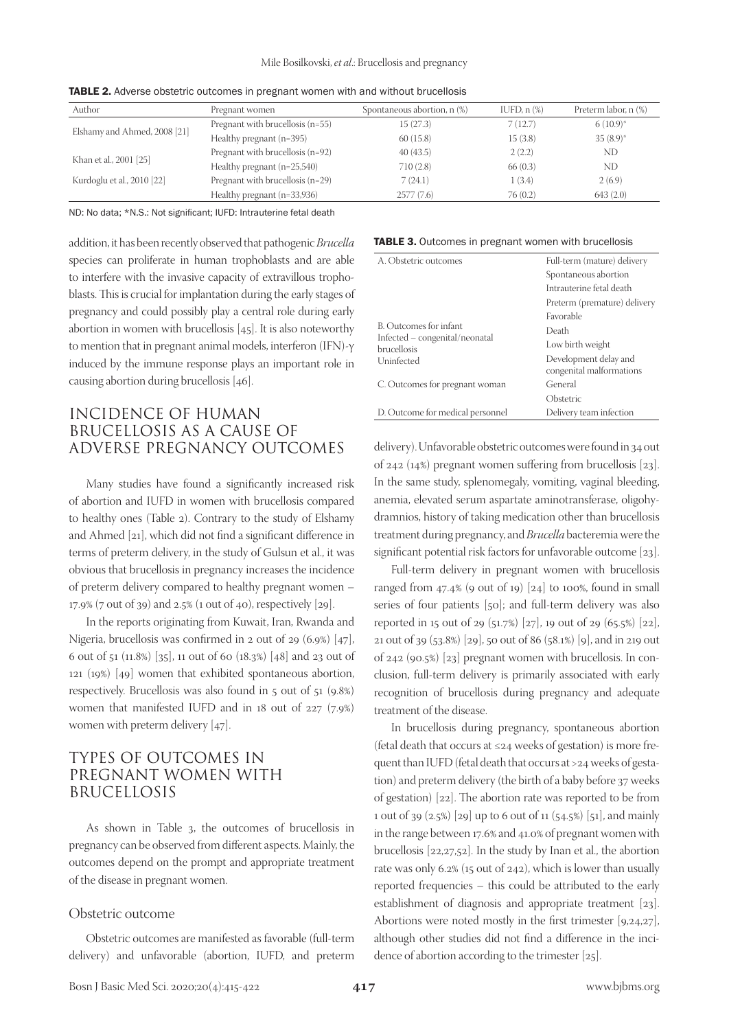| Author                       | Pregnant women                   | Spontaneous abortion, n (%) | IUFD, $n$ $%$ | Preterm labor, n (%) |
|------------------------------|----------------------------------|-----------------------------|---------------|----------------------|
| Elshamy and Ahmed, 2008 [21] | Pregnant with brucellosis (n=55) | 15(27.3)                    | 7(12.7)       | $6(10.9)^*$          |
|                              | Healthy pregnant $(n=395)$       | 60(15.8)                    | 15(3.8)       | $35(8.9)$ *          |
| Khan et al., 2001 [25]       | Pregnant with brucellosis (n=92) | 40(43.5)                    | 2(2.2)        | ND                   |
|                              | Healthy pregnant $(n=25,540)$    | 710(2.8)                    | 66(0.3)       | ND                   |
| Kurdoglu et al., 2010 [22]   | Pregnant with brucellosis (n=29) | 7(24.1)                     | 1(3.4)        | 2(6.9)               |
|                              | Healthy pregnant (n=33,936)      | 2577(7.6)                   | 76(0.2)       | 643(2.0)             |

TABLE 2. Adverse obstetric outcomes in pregnant women with and without brucellosis

ND: No data; \*N.S.: Not significant; IUFD: Intrauterine fetal death

addition, it has been recently observed that pathogenic *Brucella* species can proliferate in human trophoblasts and are able to interfere with the invasive capacity of extravillous trophoblasts. This is crucial for implantation during the early stages of pregnancy and could possibly play a central role during early abortion in women with brucellosis [45]. It is also noteworthy to mention that in pregnant animal models, interferon (IFN)-γ induced by the immune response plays an important role in causing abortion during brucellosis [46].

### INCIDENCE OF HUMAN BRUCELLOSIS AS A CAUSE OF ADVERSE PREGNANCY OUTCOMES

Many studies have found a significantly increased risk of abortion and IUFD in women with brucellosis compared to healthy ones (Table 2). Contrary to the study of Elshamy and Ahmed [21], which did not find a significant difference in terms of preterm delivery, in the study of Gulsun et al., it was obvious that brucellosis in pregnancy increases the incidence of preterm delivery compared to healthy pregnant women – 17.9% (7 out of 39) and 2.5% (1 out of 40), respectively [29].

In the reports originating from Kuwait, Iran, Rwanda and Nigeria, brucellosis was confirmed in 2 out of 29 (6.9%) [47], 6 out of 51 (11.8%) [35], 11 out of 60 (18.3%) [48] and 23 out of 121 (19%) [49] women that exhibited spontaneous abortion, respectively. Brucellosis was also found in 5 out of 51 (9.8%) women that manifested IUFD and in 18 out of 227 (7.9%) women with preterm delivery [47].

# TYPES OF OUTCOMES IN PREGNANT WOMEN WITH BRUCELLOSIS

As shown in Table 3, the outcomes of brucellosis in pregnancy can be observed from different aspects. Mainly, the outcomes depend on the prompt and appropriate treatment of the disease in pregnant women.

#### Obstetric outcome

Obstetric outcomes are manifested as favorable (full-term delivery) and unfavorable (abortion, IUFD, and preterm

#### TABLE 3. Outcomes in pregnant women with brucellosis

| A. Obstetric outcomes                                | Full-term (mature) delivery  |  |  |
|------------------------------------------------------|------------------------------|--|--|
|                                                      | Spontaneous abortion         |  |  |
|                                                      | Intrauterine fetal death     |  |  |
|                                                      | Preterm (premature) delivery |  |  |
|                                                      | Favorable                    |  |  |
| B. Outcomes for infant                               | Death                        |  |  |
| Infected - congenital/neonatal<br><b>brucellosis</b> | Low birth weight             |  |  |
| Uninfected                                           | Development delay and        |  |  |
|                                                      | congenital malformations     |  |  |
| C. Outcomes for pregnant woman                       | General                      |  |  |
|                                                      | Obstetric                    |  |  |
| D. Outcome for medical personnel                     | Delivery team infection      |  |  |

delivery). Unfavorable obstetric outcomes were found in 34 out of 242 (14%) pregnant women suffering from brucellosis [23]. In the same study, splenomegaly, vomiting, vaginal bleeding, anemia, elevated serum aspartate aminotransferase, oligohydramnios, history of taking medication other than brucellosis treatment during pregnancy, and *Brucella* bacteremia were the significant potential risk factors for unfavorable outcome [23].

Full-term delivery in pregnant women with brucellosis ranged from  $47.4\%$  (9 out of 19) [24] to 100%, found in small series of four patients [50]; and full-term delivery was also reported in 15 out of 29 (51.7%) [27], 19 out of 29 (65.5%) [22], 21 out of 39 (53.8%) [29], 50 out of 86 (58.1%) [9], and in 219 out of 242 (90.5%) [23] pregnant women with brucellosis. In conclusion, full-term delivery is primarily associated with early recognition of brucellosis during pregnancy and adequate treatment of the disease.

In brucellosis during pregnancy, spontaneous abortion (fetal death that occurs at ≤24 weeks of gestation) is more frequent than IUFD (fetal death that occurs at >24 weeks of gestation) and preterm delivery (the birth of a baby before 37 weeks of gestation) [22]. The abortion rate was reported to be from 1 out of 39 (2.5%) [29] up to 6 out of 11 (54.5%) [51], and mainly in the range between 17.6% and 41.0% of pregnant women with brucellosis [22,27,52]. In the study by Inan et al., the abortion rate was only 6.2% (15 out of 242), which is lower than usually reported frequencies – this could be attributed to the early establishment of diagnosis and appropriate treatment [23]. Abortions were noted mostly in the first trimester [9,24,27], although other studies did not find a difference in the incidence of abortion according to the trimester [25].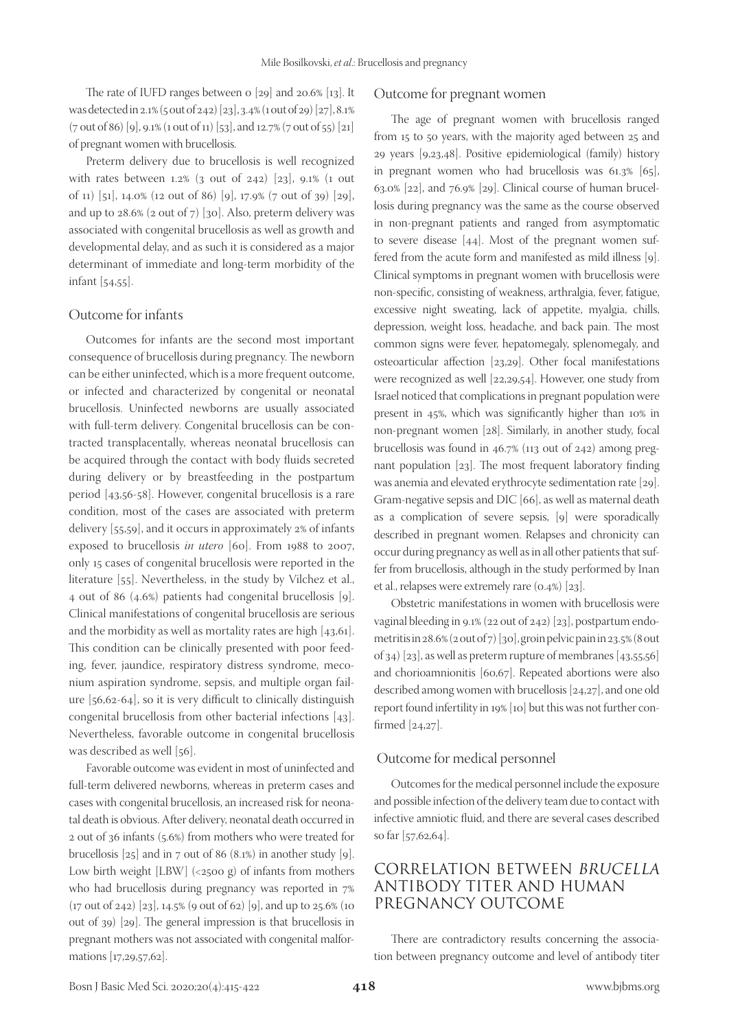The rate of IUFD ranges between o [29] and 20.6% [13]. It was detected in 2.1% (5 out of 242) [23], 3.4% (1 out of 29) [27], 8.1% (7 out of 86) [9], 9.1% (1 out of 11) [53], and 12.7% (7 out of 55) [21] of pregnant women with brucellosis.

Preterm delivery due to brucellosis is well recognized with rates between 1.2% (3 out of 242) [23], 9.1% (1 out of 11) [51], 14.0% (12 out of 86) [9], 17.9% (7 out of 39) [29], and up to  $28.6\%$  (2 out of 7) [30]. Also, preterm delivery was associated with congenital brucellosis as well as growth and developmental delay, and as such it is considered as a major determinant of immediate and long-term morbidity of the infant [54,55].

### Outcome for infants

Outcomes for infants are the second most important consequence of brucellosis during pregnancy. The newborn can be either uninfected, which is a more frequent outcome, or infected and characterized by congenital or neonatal brucellosis. Uninfected newborns are usually associated with full-term delivery. Congenital brucellosis can be contracted transplacentally, whereas neonatal brucellosis can be acquired through the contact with body fluids secreted during delivery or by breastfeeding in the postpartum period [43,56-58]. However, congenital brucellosis is a rare condition, most of the cases are associated with preterm delivery [55,59], and it occurs in approximately 2% of infants exposed to brucellosis *in utero* [60]. From 1988 to 2007, only 15 cases of congenital brucellosis were reported in the literature [55]. Nevertheless, in the study by Vilchez et al., 4 out of 86 (4.6%) patients had congenital brucellosis [9]. Clinical manifestations of congenital brucellosis are serious and the morbidity as well as mortality rates are high [43,61]. This condition can be clinically presented with poor feeding, fever, jaundice, respiratory distress syndrome, meconium aspiration syndrome, sepsis, and multiple organ failure [56,62-64], so it is very difficult to clinically distinguish congenital brucellosis from other bacterial infections [43]. Nevertheless, favorable outcome in congenital brucellosis was described as well [56].

Favorable outcome was evident in most of uninfected and full-term delivered newborns, whereas in preterm cases and cases with congenital brucellosis, an increased risk for neonatal death is obvious. After delivery, neonatal death occurred in 2 out of 36 infants (5.6%) from mothers who were treated for brucellosis  $[25]$  and in 7 out of 86 (8.1%) in another study  $[9]$ . Low birth weight [LBW] (<2500 g) of infants from mothers who had brucellosis during pregnancy was reported in 7% (17 out of 242) [23], 14.5% (9 out of 62) [9], and up to 25.6% (10 out of 39) [29]. The general impression is that brucellosis in pregnant mothers was not associated with congenital malformations [17,29,57,62].

#### Outcome for pregnant women

The age of pregnant women with brucellosis ranged from 15 to 50 years, with the majority aged between 25 and 29 years [9,23,48]. Positive epidemiological (family) history in pregnant women who had brucellosis was 61.3% [65], 63.0% [22], and 76.9% [29]. Clinical course of human brucellosis during pregnancy was the same as the course observed in non-pregnant patients and ranged from asymptomatic to severe disease [44]. Most of the pregnant women suffered from the acute form and manifested as mild illness [9]. Clinical symptoms in pregnant women with brucellosis were non-specific, consisting of weakness, arthralgia, fever, fatigue, excessive night sweating, lack of appetite, myalgia, chills, depression, weight loss, headache, and back pain. The most common signs were fever, hepatomegaly, splenomegaly, and osteoarticular affection [23,29]. Other focal manifestations were recognized as well [22,29,54]. However, one study from Israel noticed that complications in pregnant population were present in 45%, which was significantly higher than 10% in non-pregnant women [28]. Similarly, in another study, focal brucellosis was found in 46.7% (113 out of 242) among pregnant population [23]. The most frequent laboratory finding was anemia and elevated erythrocyte sedimentation rate [29]. Gram-negative sepsis and DIC [66], as well as maternal death as a complication of severe sepsis, [9] were sporadically described in pregnant women. Relapses and chronicity can occur during pregnancy as well as in all other patients that suffer from brucellosis, although in the study performed by Inan et al., relapses were extremely rare (0.4%) [23].

Obstetric manifestations in women with brucellosis were vaginal bleeding in 9.1% (22 out of 242) [23], postpartum endometritis in 28.6% (2 out of 7) [30], groin pelvic pain in 23.5% (8 out of 34) [23], as well as preterm rupture of membranes [43,55,56] and chorioamnionitis [60,67]. Repeated abortions were also described among women with brucellosis [24,27], and one old report found infertility in 19% [10] but this was not further confirmed [24,27].

#### Outcome for medical personnel

Outcomes for the medical personnel include the exposure and possible infection of the delivery team due to contact with infective amniotic fluid, and there are several cases described so far [57,62,64].

# CORRELATION BETWEEN BRUCELLA ANTIBODY TITER AND HUMAN PREGNANCY OUTCOME

There are contradictory results concerning the association between pregnancy outcome and level of antibody titer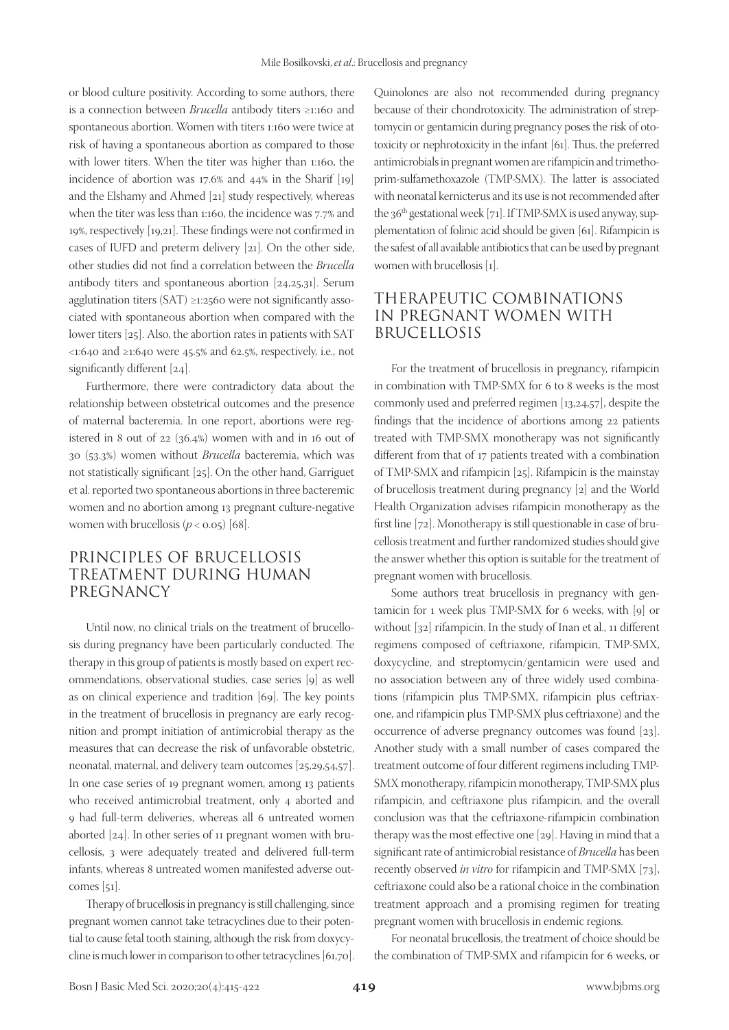or blood culture positivity. According to some authors, there is a connection between *Brucella* antibody titers ≥1:160 and spontaneous abortion. Women with titers 1:160 were twice at risk of having a spontaneous abortion as compared to those with lower titers. When the titer was higher than 1:160, the incidence of abortion was 17.6% and 44% in the Sharif [19] and the Elshamy and Ahmed [21] study respectively, whereas when the titer was less than 1:160, the incidence was 7.7% and 19%, respectively [19,21]. These findings were not confirmed in cases of IUFD and preterm delivery [21]. On the other side, other studies did not find a correlation between the *Brucella* antibody titers and spontaneous abortion [24,25,31]. Serum agglutination titers (SAT) ≥1:2560 were not significantly associated with spontaneous abortion when compared with the lower titers [25]. Also, the abortion rates in patients with SAT <1:640 and ≥1:640 were 45.5% and 62.5%, respectively, i.e., not significantly different [24].

Furthermore, there were contradictory data about the relationship between obstetrical outcomes and the presence of maternal bacteremia. In one report, abortions were registered in 8 out of 22 (36.4%) women with and in 16 out of 30 (53.3%) women without *Brucella* bacteremia, which was not statistically significant [25]. On the other hand, Garriguet et al. reported two spontaneous abortions in three bacteremic women and no abortion among 13 pregnant culture-negative women with brucellosis  $(p < 0.05)$  [68].

# PRINCIPLES OF BRUCELLOSIS TREATMENT DURING HUMAN PREGNANCY

Until now, no clinical trials on the treatment of brucellosis during pregnancy have been particularly conducted. The therapy in this group of patients is mostly based on expert recommendations, observational studies, case series [9] as well as on clinical experience and tradition [69]. The key points in the treatment of brucellosis in pregnancy are early recognition and prompt initiation of antimicrobial therapy as the measures that can decrease the risk of unfavorable obstetric, neonatal, maternal, and delivery team outcomes [25,29,54,57]. In one case series of 19 pregnant women, among 13 patients who received antimicrobial treatment, only 4 aborted and 9 had full-term deliveries, whereas all 6 untreated women aborted [24]. In other series of 11 pregnant women with brucellosis, 3 were adequately treated and delivered full-term infants, whereas 8 untreated women manifested adverse outcomes  $[51]$ .

Therapy of brucellosis in pregnancy is still challenging, since pregnant women cannot take tetracyclines due to their potential to cause fetal tooth staining, although the risk from doxycycline is much lower in comparison to other tetracyclines [61,70].

Quinolones are also not recommended during pregnancy because of their chondrotoxicity. The administration of streptomycin or gentamicin during pregnancy poses the risk of ototoxicity or nephrotoxicity in the infant [61]. Thus, the preferred antimicrobials in pregnant women are rifampicin and trimethoprim-sulfamethoxazole (TMP-SMX). The latter is associated with neonatal kernicterus and its use is not recommended after the  $36<sup>th</sup>$  gestational week [71]. If TMP-SMX is used anyway, supplementation of folinic acid should be given [61]. Rifampicin is the safest of all available antibiotics that can be used by pregnant women with brucellosis [1].

## THERAPEUTIC COMBINATIONS IN PREGNANT WOMEN WITH BRUCELLOSIS

For the treatment of brucellosis in pregnancy, rifampicin in combination with TMP-SMX for 6 to 8 weeks is the most commonly used and preferred regimen [13,24,57], despite the findings that the incidence of abortions among 22 patients treated with TMP-SMX monotherapy was not significantly different from that of 17 patients treated with a combination of TMP-SMX and rifampicin [25]. Rifampicin is the mainstay of brucellosis treatment during pregnancy [2] and the World Health Organization advises rifampicin monotherapy as the first line [72]. Monotherapy is still questionable in case of brucellosis treatment and further randomized studies should give the answer whether this option is suitable for the treatment of pregnant women with brucellosis.

Some authors treat brucellosis in pregnancy with gentamicin for 1 week plus TMP-SMX for 6 weeks, with [9] or without [32] rifampicin. In the study of Inan et al., 11 different regimens composed of ceftriaxone, rifampicin, TMP-SMX, doxycycline, and streptomycin/gentamicin were used and no association between any of three widely used combinations (rifampicin plus TMP-SMX, rifampicin plus ceftriaxone, and rifampicin plus TMP-SMX plus ceftriaxone) and the occurrence of adverse pregnancy outcomes was found [23]. Another study with a small number of cases compared the treatment outcome of four different regimens including TMP-SMX monotherapy, rifampicin monotherapy, TMP-SMX plus rifampicin, and ceftriaxone plus rifampicin, and the overall conclusion was that the ceftriaxone-rifampicin combination therapy was the most effective one [29]. Having in mind that a significant rate of antimicrobial resistance of *Brucella* has been recently observed *in vitro* for rifampicin and TMP-SMX [73], ceftriaxone could also be a rational choice in the combination treatment approach and a promising regimen for treating pregnant women with brucellosis in endemic regions.

For neonatal brucellosis, the treatment of choice should be the combination of TMP-SMX and rifampicin for 6 weeks, or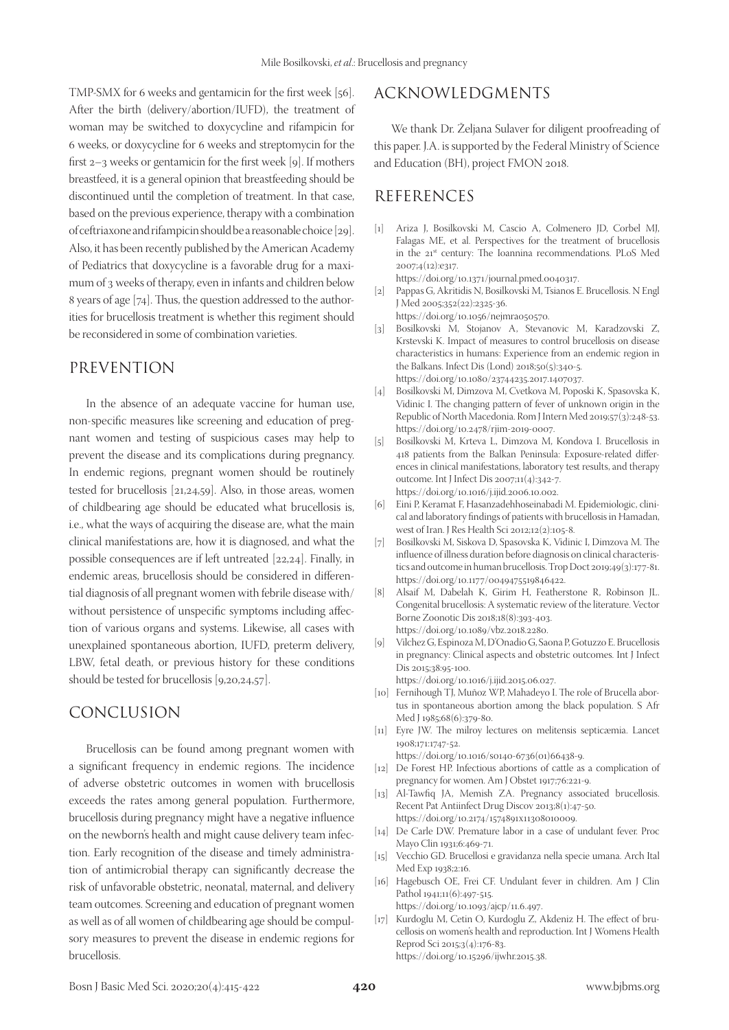TMP-SMX for 6 weeks and gentamicin for the first week [56]. After the birth (delivery/abortion/IUFD), the treatment of woman may be switched to doxycycline and rifampicin for 6 weeks, or doxycycline for 6 weeks and streptomycin for the first 2–3 weeks or gentamicin for the first week [9]. If mothers breastfeed, it is a general opinion that breastfeeding should be discontinued until the completion of treatment. In that case, based on the previous experience, therapy with a combination of ceftriaxone and rifampicin should be a reasonable choice [29]. Also, it has been recently published by the American Academy of Pediatrics that doxycycline is a favorable drug for a maximum of 3 weeks of therapy, even in infants and children below 8 years of age [74]. Thus, the question addressed to the authorities for brucellosis treatment is whether this regiment should be reconsidered in some of combination varieties.

### PREVENTION

In the absence of an adequate vaccine for human use, non-specific measures like screening and education of pregnant women and testing of suspicious cases may help to prevent the disease and its complications during pregnancy. In endemic regions, pregnant women should be routinely tested for brucellosis [21,24,59]. Also, in those areas, women of childbearing age should be educated what brucellosis is, i.e., what the ways of acquiring the disease are, what the main clinical manifestations are, how it is diagnosed, and what the possible consequences are if left untreated [22,24]. Finally, in endemic areas, brucellosis should be considered in differential diagnosis of all pregnant women with febrile disease with/ without persistence of unspecific symptoms including affection of various organs and systems. Likewise, all cases with unexplained spontaneous abortion, IUFD, preterm delivery, LBW, fetal death, or previous history for these conditions should be tested for brucellosis [9,20,24,57].

### CONCLUSION

Brucellosis can be found among pregnant women with a significant frequency in endemic regions. The incidence of adverse obstetric outcomes in women with brucellosis exceeds the rates among general population. Furthermore, brucellosis during pregnancy might have a negative influence on the newborn's health and might cause delivery team infection. Early recognition of the disease and timely administration of antimicrobial therapy can significantly decrease the risk of unfavorable obstetric, neonatal, maternal, and delivery team outcomes. Screening and education of pregnant women as well as of all women of childbearing age should be compulsory measures to prevent the disease in endemic regions for brucellosis.

### ACKNOWLEDGMENTS

We thank Dr. Željana Sulaver for diligent proofreading of this paper. J.A. is supported by the Federal Ministry of Science and Education (BH), project FMON 2018.

# REFERENCES

- [1] Ariza J, Bosilkovski M, Cascio A, Colmenero JD, Corbel MJ, Falagas ME, et al. Perspectives for the treatment of brucellosis in the 21<sup>st</sup> century: The Ioannina recommendations. PLoS Med 2007;4(12):e317.
- https://doi.org/10.1371/journal.pmed.0040317. [2] Pappas G, Akritidis N, Bosilkovski M, Tsianos E. Brucellosis. N Engl J Med 2005;352(22):2325-36.
	- https://doi.org/10.1056/nejmra050570.
- [3] Bosilkovski M, Stojanov A, Stevanovic M, Karadzovski Z, Krstevski K. Impact of measures to control brucellosis on disease characteristics in humans: Experience from an endemic region in the Balkans. Infect Dis (Lond) 2018;50(5):340-5. https://doi.org/10.1080/23744235.2017.1407037.
- [4] Bosilkovski M, Dimzova M, Cvetkova M, Poposki K, Spasovska K, Vidinic I. The changing pattern of fever of unknown origin in the Republic of North Macedonia. Rom J Intern Med 2019;57(3):248-53. https://doi.org/10.2478/rjim-2019-0007.
- [5] Bosilkovski M, Krteva L, Dimzova M, Kondova I. Brucellosis in 418 patients from the Balkan Peninsula: Exposure-related differences in clinical manifestations, laboratory test results, and therapy outcome. Int J Infect Dis 2007;11(4):342-7. https://doi.org/10.1016/j.ijid.2006.10.002.
- [6] Eini P, Keramat F, Hasanzadehhoseinabadi M. Epidemiologic, clinical and laboratory findings of patients with brucellosis in Hamadan, west of Iran. J Res Health Sci 2012;12(2):105-8.
- [7] Bosilkovski M, Siskova D, Spasovska K, Vidinic I, Dimzova M. The influence of illness duration before diagnosis on clinical characteristics and outcome in human brucellosis. Trop Doct 2019;49(3):177-81. https://doi.org/10.1177/0049475519846422.
- [8] Alsaif M, Dabelah K, Girim H, Featherstone R, Robinson JL. Congenital brucellosis: A systematic review of the literature. Vector Borne Zoonotic Dis 2018;18(8):393-403. https://doi.org/10.1089/vbz.2018.2280.
- [9] Vilchez G, Espinoza M, D'Onadio G, Saona P, Gotuzzo E. Brucellosis in pregnancy: Clinical aspects and obstetric outcomes. Int J Infect Dis 2015;38:95-100. https://doi.org/10.1016/j.ijid.2015.06.027.

- [10] Fernihough TJ, Muñoz WP, Mahadeyo I. The role of Brucella abortus in spontaneous abortion among the black population. S Afr Med J 1985;68(6):379-80.
- [11] Eyre JW. The milroy lectures on melitensis septicæmia. Lancet 1908;171:1747-52.

https://doi.org/10.1016/s0140-6736(01)66438-9.

- [12] De Forest HP. Infectious abortions of cattle as a complication of pregnancy for women. Am J Obstet 1917;76:221-9.
- [13] Al-Tawfiq JA, Memish ZA. Pregnancy associated brucellosis. Recent Pat Antiinfect Drug Discov 2013;8(1):47-50. https://doi.org/10.2174/1574891x11308010009.
- [14] De Carle DW. Premature labor in a case of undulant fever. Proc Mayo Clin 1931;6:469-71.
- [15] Vecchio GD. Brucellosi e gravidanza nella specie umana. Arch Ital Med Exp 1938;2:16.
- [16] Hagebusch OE, Frei CF. Undulant fever in children. Am J Clin Pathol 1941;11(6):497-515. https://doi.org/10.1093/ajcp/11.6.497.
- [17] Kurdoglu M, Cetin O, Kurdoglu Z, Akdeniz H. The effect of brucellosis on women's health and reproduction. Int J Womens Health Reprod Sci 2015;3(4):176-83. https://doi.org/10.15296/ijwhr.2015.38.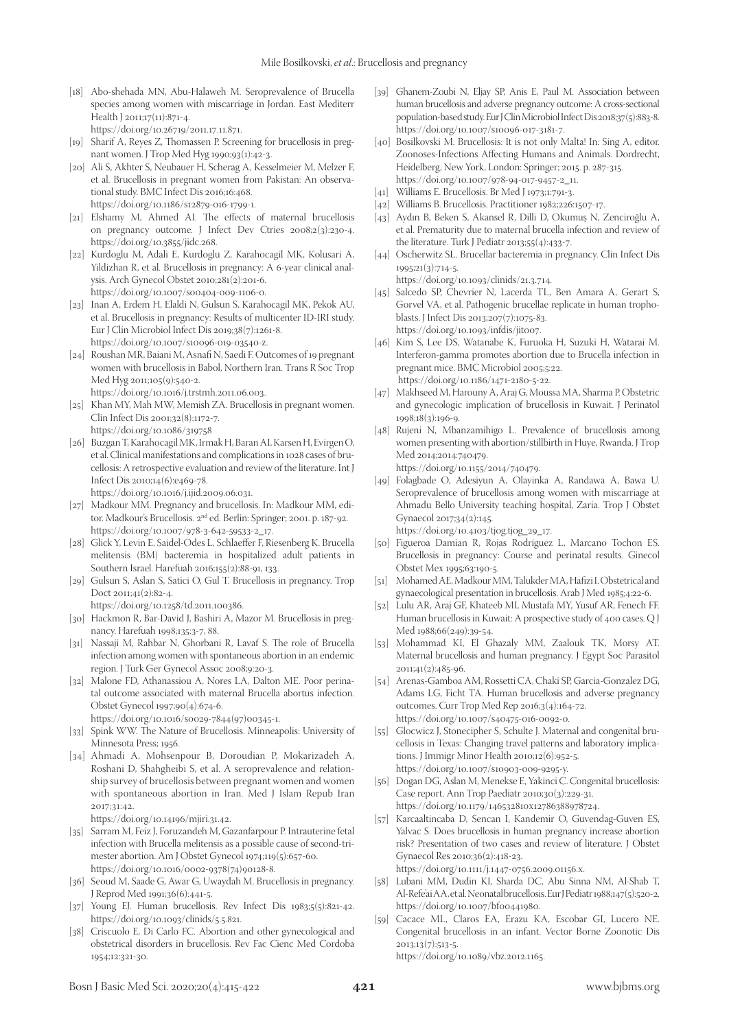- [18] Abo-shehada MN, Abu-Halaweh M. Seroprevalence of Brucella species among women with miscarriage in Jordan. East Mediterr Health J 2011;17(11):871-4. https://doi.org/10.26719/2011.17.11.871.
- [19] Sharif A, Reyes Z, Thomassen P. Screening for brucellosis in pregnant women. J Trop Med Hyg 1990;93(1):42-3.
- [20] Ali S, Akhter S, Neubauer H, Scherag A, Kesselmeier M, Melzer F, et al. Brucellosis in pregnant women from Pakistan: An observational study. BMC Infect Dis 2016;16:468. https://doi.org/10.1186/s12879-016-1799-1.
- [21] Elshamy M, Ahmed AI. The effects of maternal brucellosis on pregnancy outcome. J Infect Dev Ctries 2008;2(3):230-4. https://doi.org/10.3855/jidc.268.
- [22] Kurdoglu M, Adali E, Kurdoglu Z, Karahocagil MK, Kolusari A, Yildizhan R, et al. Brucellosis in pregnancy: A 6-year clinical analysis. Arch Gynecol Obstet 2010;281(2):201-6. https://doi.org/10.1007/s00404-009-1106-0.
- [23] Inan A, Erdem H, Elaldi N, Gulsun S, Karahocagil MK, Pekok AU, et al. Brucellosis in pregnancy: Results of multicenter ID-IRI study. Eur J Clin Microbiol Infect Dis 2019;38(7):1261-8. https://doi.org/10.1007/s10096-019-03540-z.
- [24] Roushan MR, Baiani M, Asnafi N, Saedi F. Outcomes of 19 pregnant women with brucellosis in Babol, Northern Iran. Trans R Soc Trop Med Hyg 2011;105(9):540-2.
	- https://doi.org/10.1016/j.trstmh.2011.06.003.
- [25] Khan MY, Mah MW, Memish ZA. Brucellosis in pregnant women. Clin Infect Dis 2001;32(8):1172-7. https://doi.org/10.1086/319758
- [26] Buzgan T, Karahocagil MK, Irmak H, Baran AI, Karsen H, Evirgen O, et al. Clinical manifestations and complications in 1028 cases of brucellosis: A retrospective evaluation and review of the literature. Int J Infect Dis 2010;14(6):e469-78.

https://doi.org/10.1016/j.ijid.2009.06.031.

- [27] Madkour MM. Pregnancy and brucellosis. In: Madkour MM, editor. Madkour's Brucellosis. 2nd ed. Berlin: Springer; 2001. p. 187-92. https://doi.org/10.1007/978-3-642-59533-2\_17.
- [28] Glick Y, Levin E, Saidel-Odes L, Schlaeffer F, Riesenberg K. Brucella melitensis (BM) bacteremia in hospitalized adult patients in Southern Israel. Harefuah 2016;155(2):88-91, 133.
- [29] Gulsun S, Aslan S, Satici O, Gul T. Brucellosis in pregnancy. Trop Doct 2011;41(2):82-4.
	- https://doi.org/10.1258/td.2011.100386.
- [30] Hackmon R, Bar-David J, Bashiri A, Mazor M. Brucellosis in pregnancy. Harefuah 1998;135:3-7, 88.
- [31] Nassaji M, Rahbar N, Ghorbani R, Lavaf S. The role of Brucella infection among women with spontaneous abortion in an endemic region. J Turk Ger Gynecol Assoc 2008;9:20-3.
- [32] Malone FD, Athanassiou A, Nores LA, Dalton ME. Poor perinatal outcome associated with maternal Brucella abortus infection. Obstet Gynecol 1997;90(4):674-6.
	- https://doi.org/10.1016/s0029-7844(97)00345-1.
- [33] Spink WW. The Nature of Brucellosis. Minneapolis: University of Minnesota Press; 1956.
- [34] Ahmadi A, Mohsenpour B, Doroudian P, Mokarizadeh A, Roshani D, Shahgheibi S, et al. A seroprevalence and relationship survey of brucellosis between pregnant women and women with spontaneous abortion in Iran. Med J Islam Repub Iran 2017;31:42.

https://doi.org/10.14196/mjiri.31.42.

- [35] Sarram M, Feiz J, Foruzandeh M, Gazanfarpour P. Intrauterine fetal infection with Brucella melitensis as a possible cause of second-trimester abortion. Am J Obstet Gynecol 1974;119(5):657-60. https://doi.org/10.1016/0002-9378(74)90128-8.
- [36] Seoud M, Saade G, Awar G, Uwaydah M. Brucellosis in pregnancy. J Reprod Med 1991;36(6):441-5.
- [37] Young EJ. Human brucellosis. Rev Infect Dis 1983;5(5):821-42. https://doi.org/10.1093/clinids/5.5.821.
- [38] Criscuolo E, Di Carlo FC. Abortion and other gynecological and obstetrical disorders in brucellosis. Rev Fac Cienc Med Cordoba 1954;12:321-30.
- [39] Ghanem-Zoubi N, Eljay SP, Anis E, Paul M. Association between human brucellosis and adverse pregnancy outcome: A cross-sectional population-based study. Eur J Clin Microbiol Infect Dis 2018;37(5):883-8. https://doi.org/10.1007/s10096-017-3181-7.
- [40] Bosilkovski M. Brucellosis: It is not only Malta! In: Sing A, editor. Zoonoses-Infections Affecting Humans and Animals. Dordrecht, Heidelberg, New York, London: Springer; 2015. p. 287-315. https://doi.org/10.1007/978-94-017-9457-2\_11.
- [41] Williams E. Brucellosis. Br Med J 1973;1:791-3.
- [42] Williams B. Brucellosis. Practitioner 1982;226:1507-17.
- [43] Aydın B, Beken S, Akansel R, Dilli D, Okumuş N, Zenciroğlu A, et al. Prematurity due to maternal brucella infection and review of the literature. Turk J Pediatr 2013;55(4):433-7.
- [44] Oscherwitz SL. Brucellar bacteremia in pregnancy. Clin Infect Dis 1995;21(3):714-5.

https://doi.org/10.1093/clinids/21.3.714.

- [45] Salcedo SP, Chevrier N, Lacerda TL, Ben Amara A, Gerart S, Gorvel VA, et al. Pathogenic brucellae replicate in human trophoblasts. J Infect Dis 2013;207(7):1075-83. https://doi.org/10.1093/infdis/jit007.
- [46] Kim S, Lee DS, Watanabe K, Furuoka H, Suzuki H, Watarai M. Interferon-gamma promotes abortion due to Brucella infection in pregnant mice. BMC Microbiol 2005;5:22. https://doi.org/10.1186/1471-2180-5-22.
- [47] Makhseed M, Harouny A, Araj G, Moussa MA, Sharma P. Obstetric and gynecologic implication of brucellosis in Kuwait. J Perinatol 1998;18(3):196-9.
- [48] Rujeni N, Mbanzamihigo L. Prevalence of brucellosis among women presenting with abortion/stillbirth in Huye, Rwanda. J Trop Med 2014;2014:740479. https://doi.org/10.1155/2014/740479.
- [49] Folagbade O, Adesiyun A, Olayinka A, Randawa A, Bawa U. Seroprevalence of brucellosis among women with miscarriage at Ahmadu Bello University teaching hospital, Zaria. Trop J Obstet Gynaecol 2017;34(2):145. https://doi.org/10.4103/tjog.tjog\_29\_17.
- [50] Figueroa Damian R, Rojas Rodríguez L, Marcano Tochon ES.
- Brucellosis in pregnancy: Course and perinatal results. Ginecol Obstet Mex 1995;63:190-5.
- [51] Mohamed AE, Madkour MM, Talukder MA, Hafizi I. Obstetrical and gynaecological presentation in brucellosis. Arab J Med 1985;4:22-6.
- [52] Lulu AR, Araj GF, Khateeb MI, Mustafa MY, Yusuf AR, Fenech FF. Human brucellosis in Kuwait: A prospective study of 400 cases. Q J Med 1988;66(249):39-54.
- [53] Mohammad KI, El Ghazaly MM, Zaalouk TK, Morsy AT. Maternal brucellosis and human pregnancy. J Egypt Soc Parasitol 2011;41(2):485-96.
- [54] Arenas-Gamboa AM, Rossetti CA, Chaki SP, Garcia-Gonzalez DG, Adams LG, Ficht TA. Human brucellosis and adverse pregnancy outcomes. Curr Trop Med Rep 2016;3(4):164-72. https://doi.org/10.1007/s40475-016-0092-0.
- [55] Glocwicz J, Stonecipher S, Schulte J. Maternal and congenital brucellosis in Texas: Changing travel patterns and laboratory implications. J Immigr Minor Health 2010;12(6):952-5. https://doi.org/10.1007/s10903-009-9295-y.
- [56] Dogan DG, Aslan M, Menekse E, Yakinci C. Congenital brucellosis: Case report. Ann Trop Paediatr 2010;30(3):229-31. https://doi.org/10.1179/146532810x12786388978724.
- [57] Karcaaltincaba D, Sencan I, Kandemir O, Guvendag-Guven ES, Yalvac S. Does brucellosis in human pregnancy increase abortion risk? Presentation of two cases and review of literature. J Obstet Gynaecol Res 2010;36(2):418-23.

https://doi.org/10.1111/j.1447-0756.2009.01156.x.

- [58] Lubani MM, Dudin KI, Sharda DC, Abu Sinna NM, Al-Shab T, Al-Refe'ai AA, et al. Neonatal brucellosis. Eur J Pediatr 1988;147(5):520-2. https://doi.org/10.1007/bf00441980.
- [59] Cacace ML, Claros EA, Erazu KA, Escobar GI, Lucero NE. Congenital brucellosis in an infant. Vector Borne Zoonotic Dis 2013;13(7):513-5.

https://doi.org/10.1089/vbz.2012.1165.